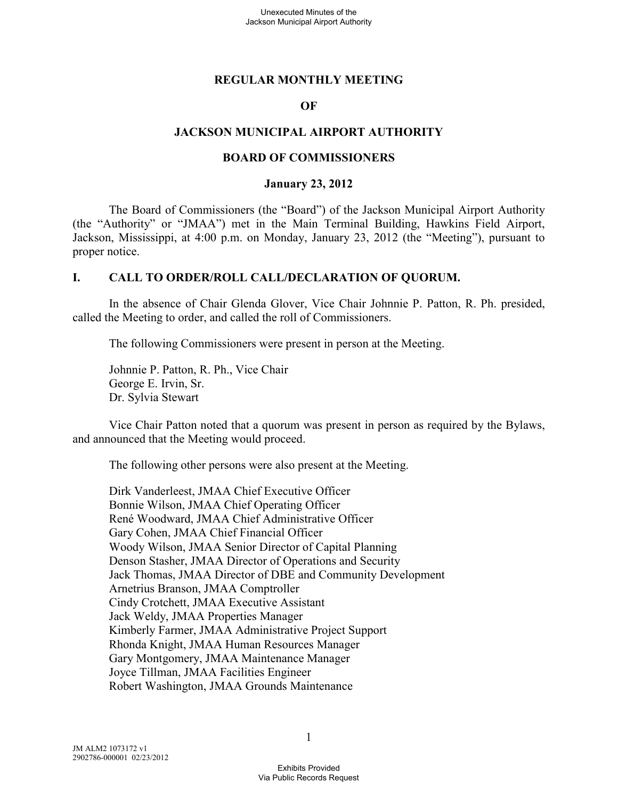#### **REGULAR MONTHLY MEETING**

#### **OF**

#### **JACKSON MUNICIPAL AIRPORT AUTHORITY**

#### **BOARD OF COMMISSIONERS**

#### **January 23, 2012**

The Board of Commissioners (the "Board") of the Jackson Municipal Airport Authority (the "Authority" or "JMAA") met in the Main Terminal Building, Hawkins Field Airport, Jackson, Mississippi, at 4:00 p.m. on Monday, January 23, 2012 (the "Meeting"), pursuant to proper notice.

#### **I. CALL TO ORDER/ROLL CALL/DECLARATION OF QUORUM.**

In the absence of Chair Glenda Glover, Vice Chair Johnnie P. Patton, R. Ph. presided, called the Meeting to order, and called the roll of Commissioners.

The following Commissioners were present in person at the Meeting.

Johnnie P. Patton, R. Ph., Vice Chair George E. Irvin, Sr. Dr. Sylvia Stewart

Vice Chair Patton noted that a quorum was present in person as required by the Bylaws, and announced that the Meeting would proceed.

The following other persons were also present at the Meeting.

Dirk Vanderleest, JMAA Chief Executive Officer Bonnie Wilson, JMAA Chief Operating Officer René Woodward, JMAA Chief Administrative Officer Gary Cohen, JMAA Chief Financial Officer Woody Wilson, JMAA Senior Director of Capital Planning Denson Stasher, JMAA Director of Operations and Security Jack Thomas, JMAA Director of DBE and Community Development Arnetrius Branson, JMAA Comptroller Cindy Crotchett, JMAA Executive Assistant Jack Weldy, JMAA Properties Manager Kimberly Farmer, JMAA Administrative Project Support Rhonda Knight, JMAA Human Resources Manager Gary Montgomery, JMAA Maintenance Manager Joyce Tillman, JMAA Facilities Engineer Robert Washington, JMAA Grounds Maintenance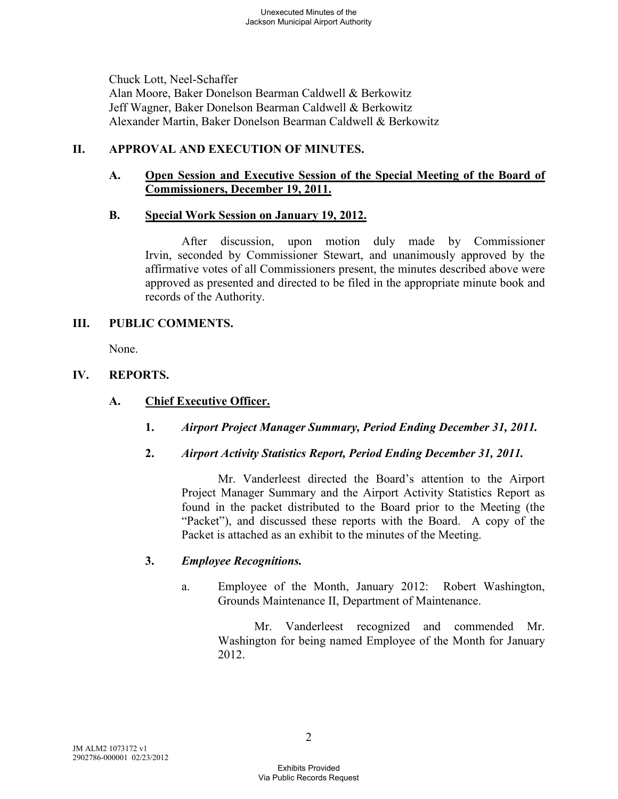Chuck Lott, Neel-Schaffer Alan Moore, Baker Donelson Bearman Caldwell & Berkowitz Jeff Wagner, Baker Donelson Bearman Caldwell & Berkowitz Alexander Martin, Baker Donelson Bearman Caldwell & Berkowitz

# **II. APPROVAL AND EXECUTION OF MINUTES.**

# **A. Open Session and Executive Session of the Special Meeting of the Board of Commissioners, December 19, 2011.**

### **B. Special Work Session on January 19, 2012.**

After discussion, upon motion duly made by Commissioner Irvin, seconded by Commissioner Stewart, and unanimously approved by the affirmative votes of all Commissioners present, the minutes described above were approved as presented and directed to be filed in the appropriate minute book and records of the Authority.

### **III. PUBLIC COMMENTS.**

None.

# **IV. REPORTS.**

# **A. Chief Executive Officer.**

- **1.** *Airport Project Manager Summary, Period Ending December 31, 2011.*
- **2.** *Airport Activity Statistics Report, Period Ending December 31, 2011.*

Mr. Vanderleest directed the Board's attention to the Airport Project Manager Summary and the Airport Activity Statistics Report as found in the packet distributed to the Board prior to the Meeting (the "Packet"), and discussed these reports with the Board. A copy of the Packet is attached as an exhibit to the minutes of the Meeting.

# **3.** *Employee Recognitions.*

a. Employee of the Month, January 2012: Robert Washington, Grounds Maintenance II, Department of Maintenance.

Mr. Vanderleest recognized and commended Mr. Washington for being named Employee of the Month for January 2012.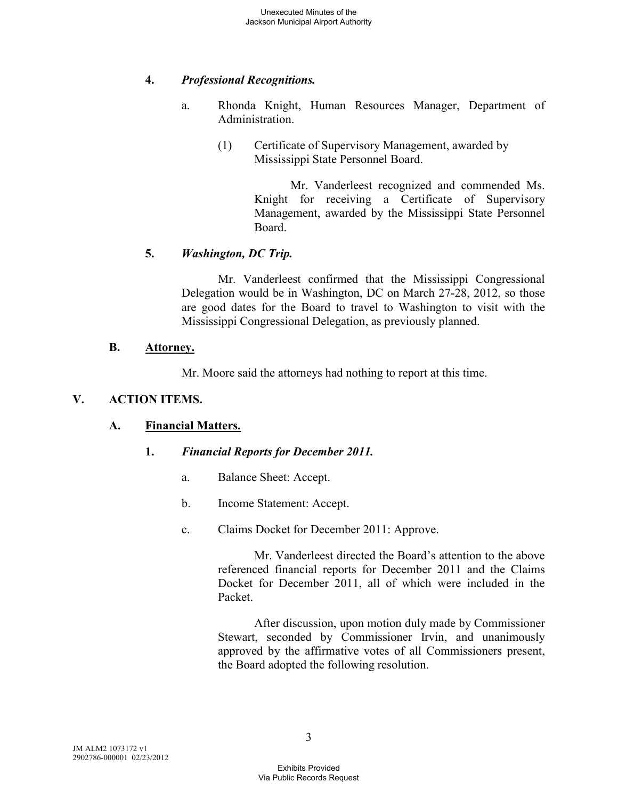# **4.** *Professional Recognitions.*

- a. Rhonda Knight, Human Resources Manager, Department of Administration.
	- (1) Certificate of Supervisory Management, awarded by Mississippi State Personnel Board.

Mr. Vanderleest recognized and commended Ms. Knight for receiving a Certificate of Supervisory Management, awarded by the Mississippi State Personnel Board.

# **5.** *Washington, DC Trip.*

Mr. Vanderleest confirmed that the Mississippi Congressional Delegation would be in Washington, DC on March 27-28, 2012, so those are good dates for the Board to travel to Washington to visit with the Mississippi Congressional Delegation, as previously planned.

### **B. Attorney.**

Mr. Moore said the attorneys had nothing to report at this time.

## **V. ACTION ITEMS.**

# **A. Financial Matters.**

#### **1.** *Financial Reports for December 2011.*

- a. Balance Sheet: Accept.
- b. Income Statement: Accept.
- c. Claims Docket for December 2011: Approve.

Mr. Vanderleest directed the Board's attention to the above referenced financial reports for December 2011 and the Claims Docket for December 2011, all of which were included in the Packet.

After discussion, upon motion duly made by Commissioner Stewart, seconded by Commissioner Irvin, and unanimously approved by the affirmative votes of all Commissioners present, the Board adopted the following resolution.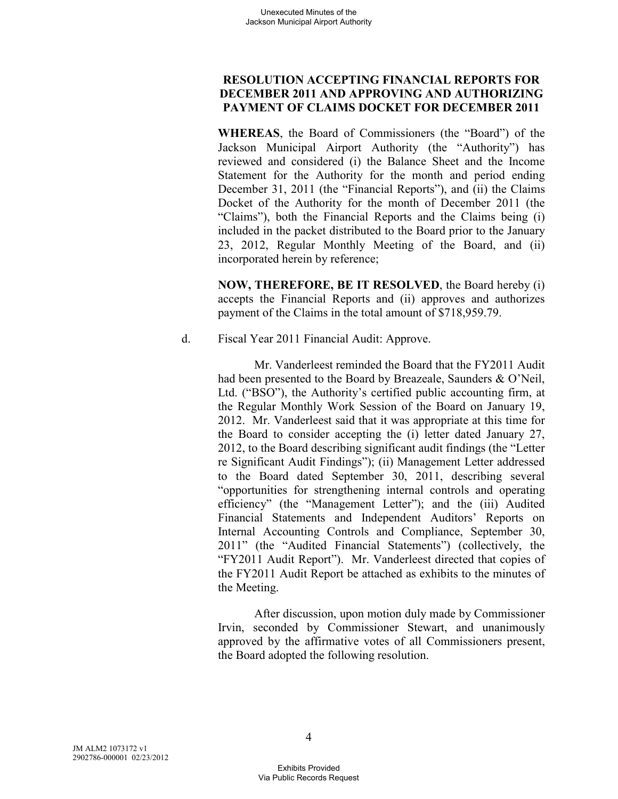# **RESOLUTION ACCEPTING FINANCIAL REPORTS FOR DECEMBER 2011 AND APPROVING AND AUTHORIZING PAYMENT OF CLAIMS DOCKET FOR DECEMBER 2011**

**WHEREAS**, the Board of Commissioners (the "Board") of the Jackson Municipal Airport Authority (the "Authority") has reviewed and considered (i) the Balance Sheet and the Income Statement for the Authority for the month and period ending December 31, 2011 (the "Financial Reports"), and (ii) the Claims Docket of the Authority for the month of December 2011 (the "Claims"), both the Financial Reports and the Claims being (i) included in the packet distributed to the Board prior to the January 23, 2012, Regular Monthly Meeting of the Board, and (ii) incorporated herein by reference;

**NOW, THEREFORE, BE IT RESOLVED**, the Board hereby (i) accepts the Financial Reports and (ii) approves and authorizes payment of the Claims in the total amount of \$718,959.79.

d. Fiscal Year 2011 Financial Audit: Approve.

Mr. Vanderleest reminded the Board that the FY2011 Audit had been presented to the Board by Breazeale, Saunders & O'Neil, Ltd. ("BSO"), the Authority's certified public accounting firm, at the Regular Monthly Work Session of the Board on January 19, 2012. Mr. Vanderleest said that it was appropriate at this time for the Board to consider accepting the (i) letter dated January 27, 2012, to the Board describing significant audit findings (the "Letter re Significant Audit Findings"); (ii) Management Letter addressed to the Board dated September 30, 2011, describing several "opportunities for strengthening internal controls and operating efficiency" (the "Management Letter"); and the (iii) Audited Financial Statements and Independent Auditors' Reports on Internal Accounting Controls and Compliance, September 30, 2011" (the "Audited Financial Statements") (collectively, the "FY2011 Audit Report"). Mr. Vanderleest directed that copies of the FY2011 Audit Report be attached as exhibits to the minutes of the Meeting.

After discussion, upon motion duly made by Commissioner Irvin, seconded by Commissioner Stewart, and unanimously approved by the affirmative votes of all Commissioners present, the Board adopted the following resolution.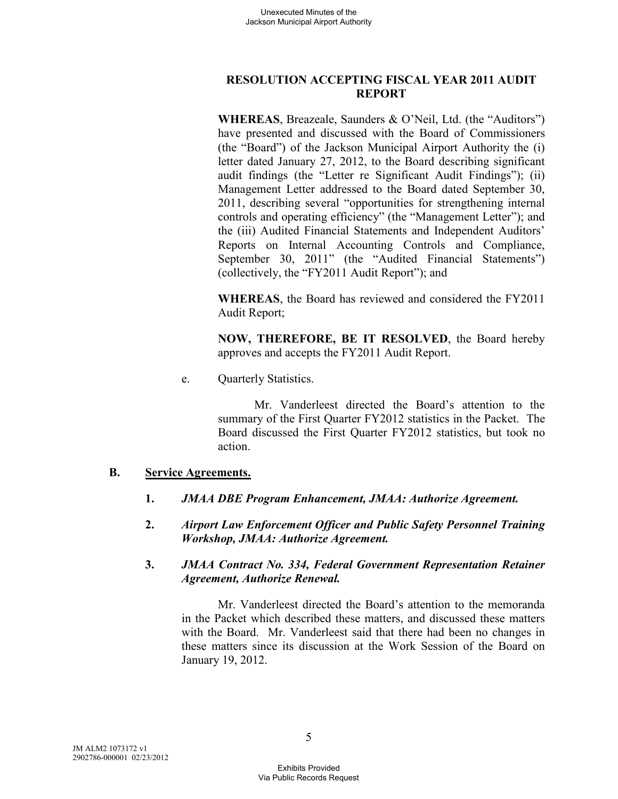# **RESOLUTION ACCEPTING FISCAL YEAR 2011 AUDIT REPORT**

**WHEREAS**, Breazeale, Saunders & O'Neil, Ltd. (the "Auditors") have presented and discussed with the Board of Commissioners (the "Board") of the Jackson Municipal Airport Authority the (i) letter dated January 27, 2012, to the Board describing significant audit findings (the "Letter re Significant Audit Findings"); (ii) Management Letter addressed to the Board dated September 30, 2011, describing several "opportunities for strengthening internal controls and operating efficiency" (the "Management Letter"); and the (iii) Audited Financial Statements and Independent Auditors' Reports on Internal Accounting Controls and Compliance, September 30, 2011" (the "Audited Financial Statements") (collectively, the "FY2011 Audit Report"); and

**WHEREAS**, the Board has reviewed and considered the FY2011 Audit Report;

**NOW, THEREFORE, BE IT RESOLVED**, the Board hereby approves and accepts the FY2011 Audit Report.

e. Quarterly Statistics.

Mr. Vanderleest directed the Board's attention to the summary of the First Quarter FY2012 statistics in the Packet. The Board discussed the First Quarter FY2012 statistics, but took no action.

# **B. Service Agreements.**

- **1.** *JMAA DBE Program Enhancement, JMAA: Authorize Agreement.*
- **2.** *Airport Law Enforcement Officer and Public Safety Personnel Training Workshop, JMAA: Authorize Agreement.*
- **3.** *JMAA Contract No. 334, Federal Government Representation Retainer Agreement, Authorize Renewal.*

Mr. Vanderleest directed the Board's attention to the memoranda in the Packet which described these matters, and discussed these matters with the Board. Mr. Vanderleest said that there had been no changes in these matters since its discussion at the Work Session of the Board on January 19, 2012.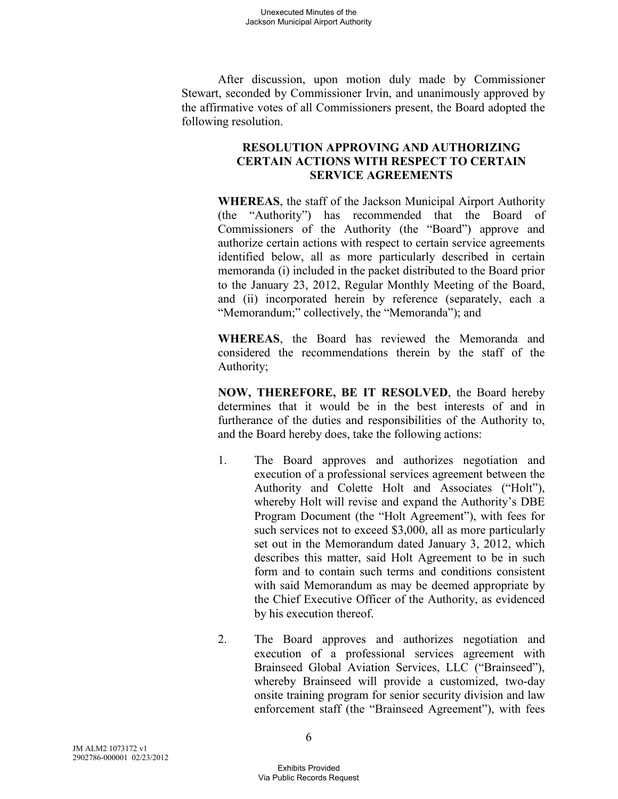After discussion, upon motion duly made by Commissioner Stewart, seconded by Commissioner Irvin, and unanimously approved by the affirmative votes of all Commissioners present, the Board adopted the following resolution.

## **RESOLUTION APPROVING AND AUTHORIZING CERTAIN ACTIONS WITH RESPECT TO CERTAIN SERVICE AGREEMENTS**

**WHEREAS**, the staff of the Jackson Municipal Airport Authority (the "Authority") has recommended that the Board of Commissioners of the Authority (the "Board") approve and authorize certain actions with respect to certain service agreements identified below, all as more particularly described in certain memoranda (i) included in the packet distributed to the Board prior to the January 23, 2012, Regular Monthly Meeting of the Board, and (ii) incorporated herein by reference (separately, each a "Memorandum;" collectively, the "Memoranda"); and

**WHEREAS**, the Board has reviewed the Memoranda and considered the recommendations therein by the staff of the Authority;

**NOW, THEREFORE, BE IT RESOLVED**, the Board hereby determines that it would be in the best interests of and in furtherance of the duties and responsibilities of the Authority to, and the Board hereby does, take the following actions:

- 1. The Board approves and authorizes negotiation and execution of a professional services agreement between the Authority and Colette Holt and Associates ("Holt"), whereby Holt will revise and expand the Authority's DBE Program Document (the "Holt Agreement"), with fees for such services not to exceed \$3,000, all as more particularly set out in the Memorandum dated January 3, 2012, which describes this matter, said Holt Agreement to be in such form and to contain such terms and conditions consistent with said Memorandum as may be deemed appropriate by the Chief Executive Officer of the Authority, as evidenced by his execution thereof.
- 2. The Board approves and authorizes negotiation and execution of a professional services agreement with Brainseed Global Aviation Services, LLC ("Brainseed"), whereby Brainseed will provide a customized, two-day onsite training program for senior security division and law enforcement staff (the "Brainseed Agreement"), with fees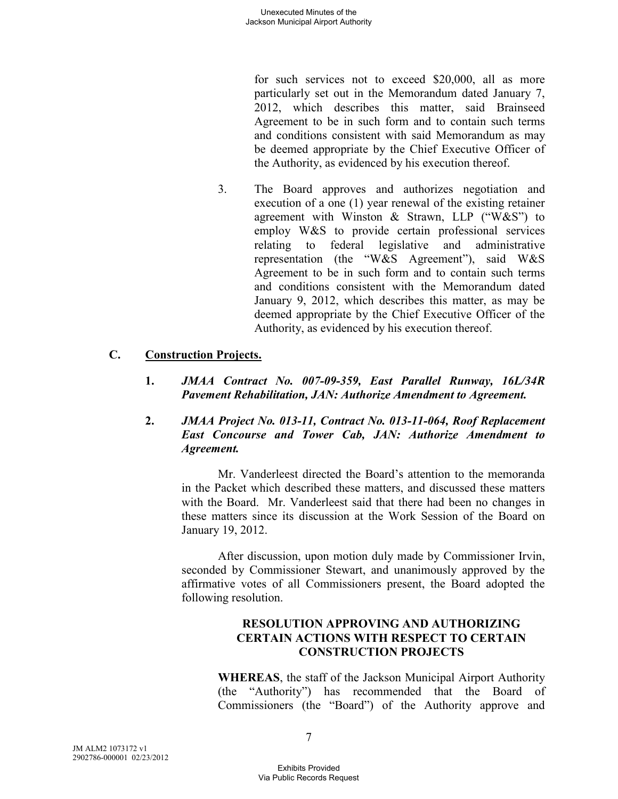for such services not to exceed \$20,000, all as more particularly set out in the Memorandum dated January 7, 2012, which describes this matter, said Brainseed Agreement to be in such form and to contain such terms and conditions consistent with said Memorandum as may be deemed appropriate by the Chief Executive Officer of the Authority, as evidenced by his execution thereof.

3. The Board approves and authorizes negotiation and execution of a one (1) year renewal of the existing retainer agreement with Winston & Strawn, LLP ("W&S") to employ W&S to provide certain professional services relating to federal legislative and administrative representation (the "W&S Agreement"), said W&S Agreement to be in such form and to contain such terms and conditions consistent with the Memorandum dated January 9, 2012, which describes this matter, as may be deemed appropriate by the Chief Executive Officer of the Authority, as evidenced by his execution thereof.

# **C. Construction Projects.**

- **1.** *JMAA Contract No. 007-09-359, East Parallel Runway, 16L/34R Pavement Rehabilitation, JAN: Authorize Amendment to Agreement.*
- **2.** *JMAA Project No. 013-11, Contract No. 013-11-064, Roof Replacement East Concourse and Tower Cab, JAN: Authorize Amendment to Agreement.*

Mr. Vanderleest directed the Board's attention to the memoranda in the Packet which described these matters, and discussed these matters with the Board. Mr. Vanderleest said that there had been no changes in these matters since its discussion at the Work Session of the Board on January 19, 2012.

After discussion, upon motion duly made by Commissioner Irvin, seconded by Commissioner Stewart, and unanimously approved by the affirmative votes of all Commissioners present, the Board adopted the following resolution.

## **RESOLUTION APPROVING AND AUTHORIZING CERTAIN ACTIONS WITH RESPECT TO CERTAIN CONSTRUCTION PROJECTS**

**WHEREAS**, the staff of the Jackson Municipal Airport Authority (the "Authority") has recommended that the Board of Commissioners (the "Board") of the Authority approve and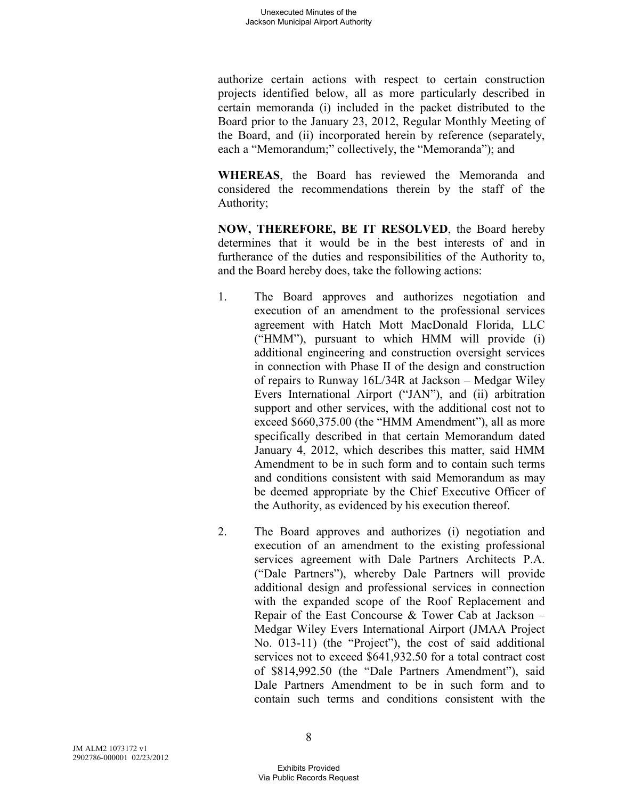authorize certain actions with respect to certain construction projects identified below, all as more particularly described in certain memoranda (i) included in the packet distributed to the Board prior to the January 23, 2012, Regular Monthly Meeting of the Board, and (ii) incorporated herein by reference (separately, each a "Memorandum;" collectively, the "Memoranda"); and

**WHEREAS**, the Board has reviewed the Memoranda and considered the recommendations therein by the staff of the Authority;

**NOW, THEREFORE, BE IT RESOLVED**, the Board hereby determines that it would be in the best interests of and in furtherance of the duties and responsibilities of the Authority to, and the Board hereby does, take the following actions:

- 1. The Board approves and authorizes negotiation and execution of an amendment to the professional services agreement with Hatch Mott MacDonald Florida, LLC ("HMM"), pursuant to which HMM will provide (i) additional engineering and construction oversight services in connection with Phase II of the design and construction of repairs to Runway 16L/34R at Jackson – Medgar Wiley Evers International Airport ("JAN"), and (ii) arbitration support and other services, with the additional cost not to exceed \$660,375.00 (the "HMM Amendment"), all as more specifically described in that certain Memorandum dated January 4, 2012, which describes this matter, said HMM Amendment to be in such form and to contain such terms and conditions consistent with said Memorandum as may be deemed appropriate by the Chief Executive Officer of the Authority, as evidenced by his execution thereof.
- 2. The Board approves and authorizes (i) negotiation and execution of an amendment to the existing professional services agreement with Dale Partners Architects P.A. ("Dale Partners"), whereby Dale Partners will provide additional design and professional services in connection with the expanded scope of the Roof Replacement and Repair of the East Concourse & Tower Cab at Jackson – Medgar Wiley Evers International Airport (JMAA Project No. 013-11) (the "Project"), the cost of said additional services not to exceed \$641,932.50 for a total contract cost of \$814,992.50 (the "Dale Partners Amendment"), said Dale Partners Amendment to be in such form and to contain such terms and conditions consistent with the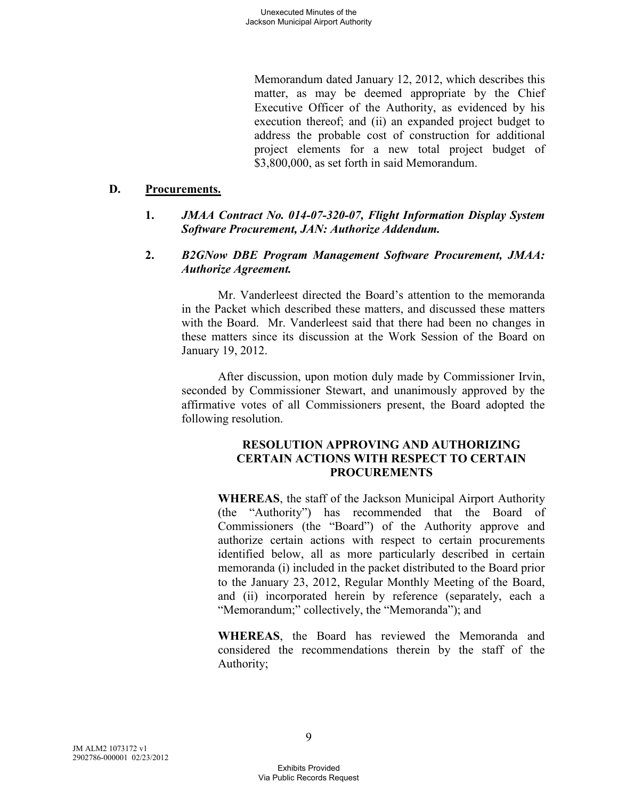Memorandum dated January 12, 2012, which describes this matter, as may be deemed appropriate by the Chief Executive Officer of the Authority, as evidenced by his execution thereof; and (ii) an expanded project budget to address the probable cost of construction for additional project elements for a new total project budget of \$3,800,000, as set forth in said Memorandum.

#### **D. Procurements.**

## **1.** *JMAA Contract No. 014-07-320-07, Flight Information Display System Software Procurement, JAN: Authorize Addendum.*

### **2.** *B2GNow DBE Program Management Software Procurement, JMAA: Authorize Agreement.*

Mr. Vanderleest directed the Board's attention to the memoranda in the Packet which described these matters, and discussed these matters with the Board. Mr. Vanderleest said that there had been no changes in these matters since its discussion at the Work Session of the Board on January 19, 2012.

After discussion, upon motion duly made by Commissioner Irvin, seconded by Commissioner Stewart, and unanimously approved by the affirmative votes of all Commissioners present, the Board adopted the following resolution.

## **RESOLUTION APPROVING AND AUTHORIZING CERTAIN ACTIONS WITH RESPECT TO CERTAIN PROCUREMENTS**

**WHEREAS**, the staff of the Jackson Municipal Airport Authority (the "Authority") has recommended that the Board of Commissioners (the "Board") of the Authority approve and authorize certain actions with respect to certain procurements identified below, all as more particularly described in certain memoranda (i) included in the packet distributed to the Board prior to the January 23, 2012, Regular Monthly Meeting of the Board, and (ii) incorporated herein by reference (separately, each a "Memorandum;" collectively, the "Memoranda"); and

**WHEREAS**, the Board has reviewed the Memoranda and considered the recommendations therein by the staff of the Authority;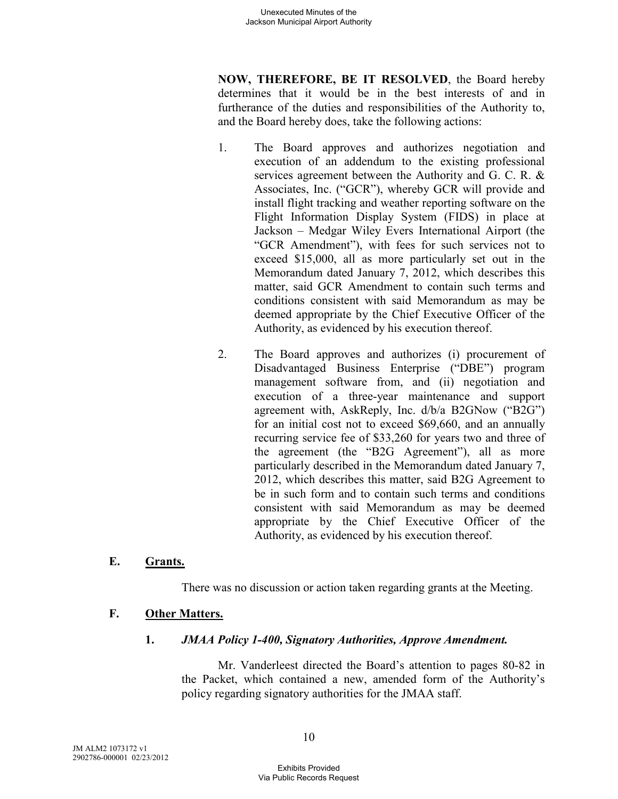**NOW, THEREFORE, BE IT RESOLVED**, the Board hereby determines that it would be in the best interests of and in furtherance of the duties and responsibilities of the Authority to, and the Board hereby does, take the following actions:

- 1. The Board approves and authorizes negotiation and execution of an addendum to the existing professional services agreement between the Authority and G. C. R. & Associates, Inc. ("GCR"), whereby GCR will provide and install flight tracking and weather reporting software on the Flight Information Display System (FIDS) in place at Jackson – Medgar Wiley Evers International Airport (the "GCR Amendment"), with fees for such services not to exceed \$15,000, all as more particularly set out in the Memorandum dated January 7, 2012, which describes this matter, said GCR Amendment to contain such terms and conditions consistent with said Memorandum as may be deemed appropriate by the Chief Executive Officer of the Authority, as evidenced by his execution thereof.
- 2. The Board approves and authorizes (i) procurement of Disadvantaged Business Enterprise ("DBE") program management software from, and (ii) negotiation and execution of a three-year maintenance and support agreement with, AskReply, Inc. d/b/a B2GNow ("B2G") for an initial cost not to exceed \$69,660, and an annually recurring service fee of \$33,260 for years two and three of the agreement (the "B2G Agreement"), all as more particularly described in the Memorandum dated January 7, 2012, which describes this matter, said B2G Agreement to be in such form and to contain such terms and conditions consistent with said Memorandum as may be deemed appropriate by the Chief Executive Officer of the Authority, as evidenced by his execution thereof.

# **E. Grants.**

There was no discussion or action taken regarding grants at the Meeting.

# **F. Other Matters.**

#### **1.** *JMAA Policy 1-400, Signatory Authorities, Approve Amendment.*

Mr. Vanderleest directed the Board's attention to pages 80-82 in the Packet, which contained a new, amended form of the Authority's policy regarding signatory authorities for the JMAA staff.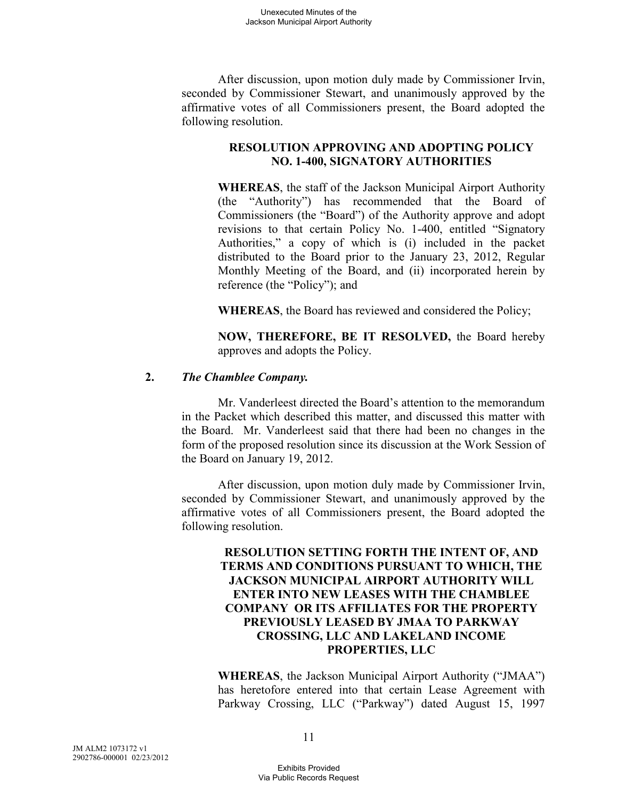After discussion, upon motion duly made by Commissioner Irvin, seconded by Commissioner Stewart, and unanimously approved by the affirmative votes of all Commissioners present, the Board adopted the following resolution.

# **RESOLUTION APPROVING AND ADOPTING POLICY NO. 1-400, SIGNATORY AUTHORITIES**

**WHEREAS**, the staff of the Jackson Municipal Airport Authority (the "Authority") has recommended that the Board of Commissioners (the "Board") of the Authority approve and adopt revisions to that certain Policy No. 1-400, entitled "Signatory Authorities," a copy of which is (i) included in the packet distributed to the Board prior to the January 23, 2012, Regular Monthly Meeting of the Board, and (ii) incorporated herein by reference (the "Policy"); and

**WHEREAS**, the Board has reviewed and considered the Policy;

**NOW, THEREFORE, BE IT RESOLVED,** the Board hereby approves and adopts the Policy.

### **2.** *The Chamblee Company.*

Mr. Vanderleest directed the Board's attention to the memorandum in the Packet which described this matter, and discussed this matter with the Board. Mr. Vanderleest said that there had been no changes in the form of the proposed resolution since its discussion at the Work Session of the Board on January 19, 2012.

After discussion, upon motion duly made by Commissioner Irvin, seconded by Commissioner Stewart, and unanimously approved by the affirmative votes of all Commissioners present, the Board adopted the following resolution.

## **RESOLUTION SETTING FORTH THE INTENT OF, AND TERMS AND CONDITIONS PURSUANT TO WHICH, THE JACKSON MUNICIPAL AIRPORT AUTHORITY WILL ENTER INTO NEW LEASES WITH THE CHAMBLEE COMPANY OR ITS AFFILIATES FOR THE PROPERTY PREVIOUSLY LEASED BY JMAA TO PARKWAY CROSSING, LLC AND LAKELAND INCOME PROPERTIES, LLC**

**WHEREAS**, the Jackson Municipal Airport Authority ("JMAA") has heretofore entered into that certain Lease Agreement with Parkway Crossing, LLC ("Parkway") dated August 15, 1997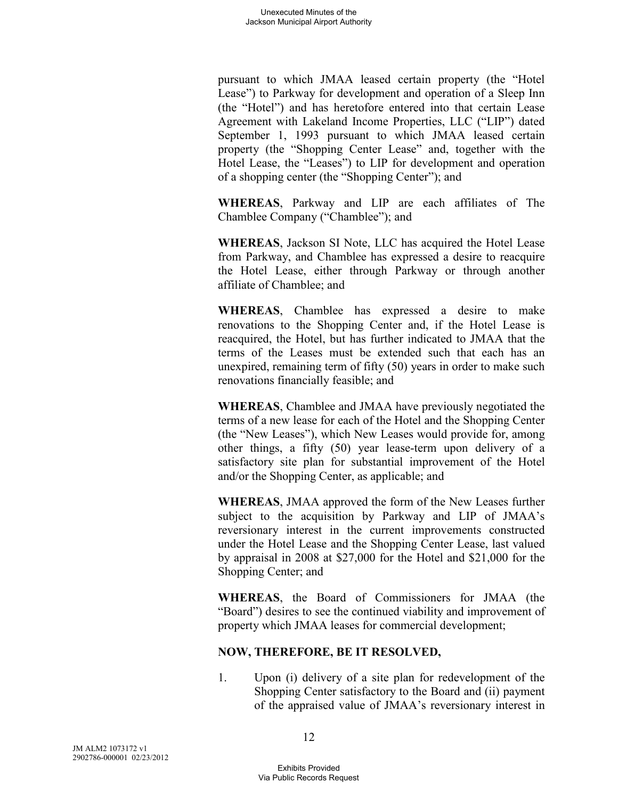pursuant to which JMAA leased certain property (the "Hotel Lease") to Parkway for development and operation of a Sleep Inn (the "Hotel") and has heretofore entered into that certain Lease Agreement with Lakeland Income Properties, LLC ("LIP") dated September 1, 1993 pursuant to which JMAA leased certain property (the "Shopping Center Lease" and, together with the Hotel Lease, the "Leases") to LIP for development and operation of a shopping center (the "Shopping Center"); and

**WHEREAS**, Parkway and LIP are each affiliates of The Chamblee Company ("Chamblee"); and

**WHEREAS**, Jackson SI Note, LLC has acquired the Hotel Lease from Parkway, and Chamblee has expressed a desire to reacquire the Hotel Lease, either through Parkway or through another affiliate of Chamblee; and

**WHEREAS**, Chamblee has expressed a desire to make renovations to the Shopping Center and, if the Hotel Lease is reacquired, the Hotel, but has further indicated to JMAA that the terms of the Leases must be extended such that each has an unexpired, remaining term of fifty (50) years in order to make such renovations financially feasible; and

**WHEREAS**, Chamblee and JMAA have previously negotiated the terms of a new lease for each of the Hotel and the Shopping Center (the "New Leases"), which New Leases would provide for, among other things, a fifty (50) year lease-term upon delivery of a satisfactory site plan for substantial improvement of the Hotel and/or the Shopping Center, as applicable; and

**WHEREAS**, JMAA approved the form of the New Leases further subject to the acquisition by Parkway and LIP of JMAA's reversionary interest in the current improvements constructed under the Hotel Lease and the Shopping Center Lease, last valued by appraisal in 2008 at \$27,000 for the Hotel and \$21,000 for the Shopping Center; and

**WHEREAS**, the Board of Commissioners for JMAA (the "Board") desires to see the continued viability and improvement of property which JMAA leases for commercial development;

# **NOW, THEREFORE, BE IT RESOLVED,**

1. Upon (i) delivery of a site plan for redevelopment of the Shopping Center satisfactory to the Board and (ii) payment of the appraised value of JMAA's reversionary interest in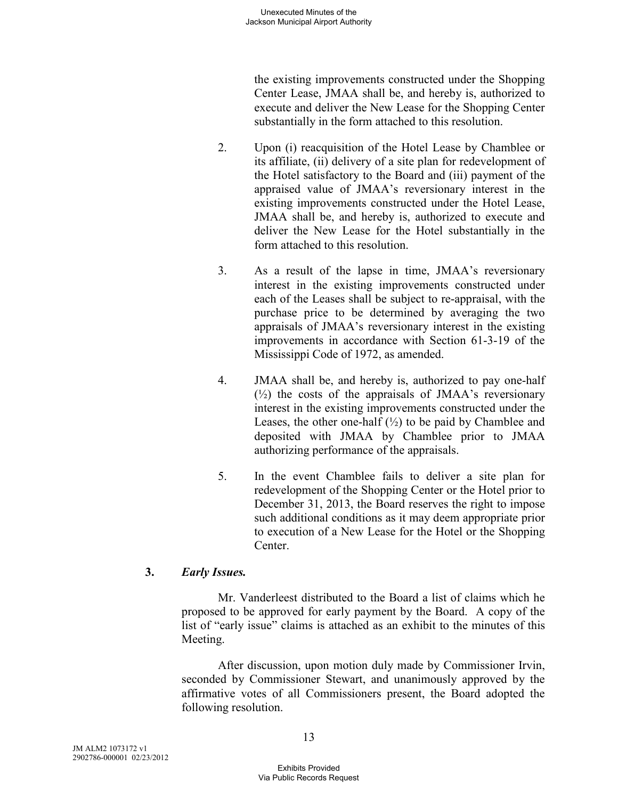the existing improvements constructed under the Shopping Center Lease, JMAA shall be, and hereby is, authorized to execute and deliver the New Lease for the Shopping Center substantially in the form attached to this resolution.

- 2. Upon (i) reacquisition of the Hotel Lease by Chamblee or its affiliate, (ii) delivery of a site plan for redevelopment of the Hotel satisfactory to the Board and (iii) payment of the appraised value of JMAA's reversionary interest in the existing improvements constructed under the Hotel Lease, JMAA shall be, and hereby is, authorized to execute and deliver the New Lease for the Hotel substantially in the form attached to this resolution.
- 3. As a result of the lapse in time, JMAA's reversionary interest in the existing improvements constructed under each of the Leases shall be subject to re-appraisal, with the purchase price to be determined by averaging the two appraisals of JMAA's reversionary interest in the existing improvements in accordance with Section 61-3-19 of the Mississippi Code of 1972, as amended.
- 4. JMAA shall be, and hereby is, authorized to pay one-half  $(\frac{1}{2})$  the costs of the appraisals of JMAA's reversionary interest in the existing improvements constructed under the Leases, the other one-half  $(\frac{1}{2})$  to be paid by Chamblee and deposited with JMAA by Chamblee prior to JMAA authorizing performance of the appraisals.
- 5. In the event Chamblee fails to deliver a site plan for redevelopment of the Shopping Center or the Hotel prior to December 31, 2013, the Board reserves the right to impose such additional conditions as it may deem appropriate prior to execution of a New Lease for the Hotel or the Shopping Center.

# **3.** *Early Issues.*

Mr. Vanderleest distributed to the Board a list of claims which he proposed to be approved for early payment by the Board. A copy of the list of "early issue" claims is attached as an exhibit to the minutes of this Meeting.

After discussion, upon motion duly made by Commissioner Irvin, seconded by Commissioner Stewart, and unanimously approved by the affirmative votes of all Commissioners present, the Board adopted the following resolution.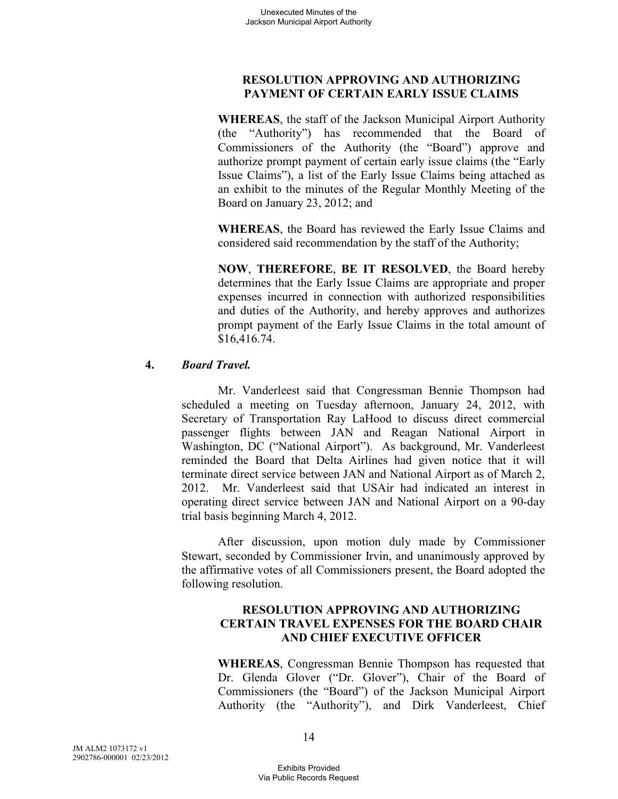# **RESOLUTION APPROVING AND AUTHORIZING PAYMENT OF CERTAIN EARLY ISSUE CLAIMS**

**WHEREAS**, the staff of the Jackson Municipal Airport Authority (the "Authority") has recommended that the Board of Commissioners of the Authority (the "Board") approve and authorize prompt payment of certain early issue claims (the "Early Issue Claims"), a list of the Early Issue Claims being attached as an exhibit to the minutes of the Regular Monthly Meeting of the Board on January 23, 2012; and

**WHEREAS**, the Board has reviewed the Early Issue Claims and considered said recommendation by the staff of the Authority;

**NOW**, **THEREFORE**, **BE IT RESOLVED**, the Board hereby determines that the Early Issue Claims are appropriate and proper expenses incurred in connection with authorized responsibilities and duties of the Authority, and hereby approves and authorizes prompt payment of the Early Issue Claims in the total amount of \$16,416.74.

# **4.** *Board Travel.*

Mr. Vanderleest said that Congressman Bennie Thompson had scheduled a meeting on Tuesday afternoon, January 24, 2012, with Secretary of Transportation Ray LaHood to discuss direct commercial passenger flights between JAN and Reagan National Airport in Washington, DC ("National Airport"). As background, Mr. Vanderleest reminded the Board that Delta Airlines had given notice that it will terminate direct service between JAN and National Airport as of March 2, 2012. Mr. Vanderleest said that USAir had indicated an interest in operating direct service between JAN and National Airport on a 90-day trial basis beginning March 4, 2012.

After discussion, upon motion duly made by Commissioner Stewart, seconded by Commissioner Irvin, and unanimously approved by the affirmative votes of all Commissioners present, the Board adopted the following resolution.

### **RESOLUTION APPROVING AND AUTHORIZING CERTAIN TRAVEL EXPENSES FOR THE BOARD CHAIR AND CHIEF EXECUTIVE OFFICER**

**WHEREAS**, Congressman Bennie Thompson has requested that Dr. Glenda Glover ("Dr. Glover"), Chair of the Board of Commissioners (the "Board") of the Jackson Municipal Airport Authority (the "Authority"), and Dirk Vanderleest, Chief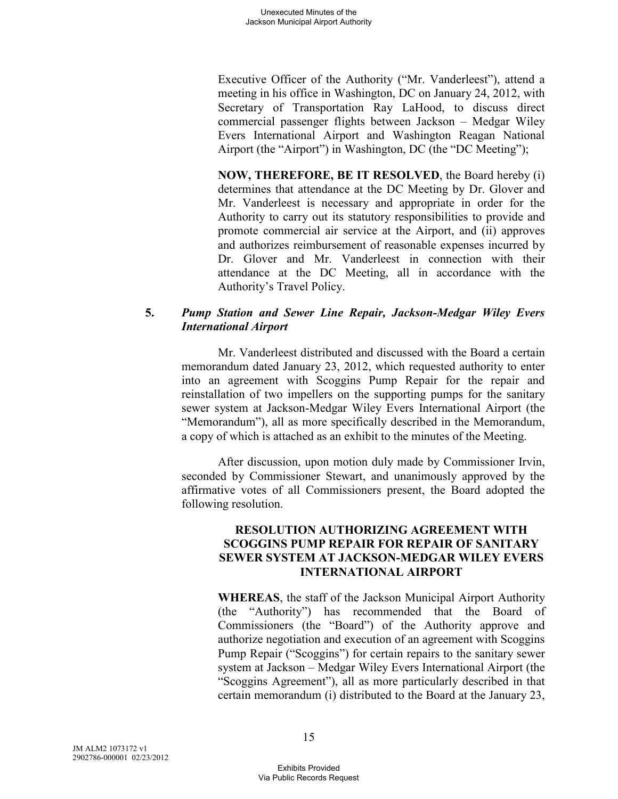Executive Officer of the Authority ("Mr. Vanderleest"), attend a meeting in his office in Washington, DC on January 24, 2012, with Secretary of Transportation Ray LaHood, to discuss direct commercial passenger flights between Jackson – Medgar Wiley Evers International Airport and Washington Reagan National Airport (the "Airport") in Washington, DC (the "DC Meeting");

**NOW, THEREFORE, BE IT RESOLVED**, the Board hereby (i) determines that attendance at the DC Meeting by Dr. Glover and Mr. Vanderleest is necessary and appropriate in order for the Authority to carry out its statutory responsibilities to provide and promote commercial air service at the Airport, and (ii) approves and authorizes reimbursement of reasonable expenses incurred by Dr. Glover and Mr. Vanderleest in connection with their attendance at the DC Meeting, all in accordance with the Authority's Travel Policy.

### **5.** *Pump Station and Sewer Line Repair, Jackson-Medgar Wiley Evers International Airport*

Mr. Vanderleest distributed and discussed with the Board a certain memorandum dated January 23, 2012, which requested authority to enter into an agreement with Scoggins Pump Repair for the repair and reinstallation of two impellers on the supporting pumps for the sanitary sewer system at Jackson-Medgar Wiley Evers International Airport (the "Memorandum"), all as more specifically described in the Memorandum, a copy of which is attached as an exhibit to the minutes of the Meeting.

After discussion, upon motion duly made by Commissioner Irvin, seconded by Commissioner Stewart, and unanimously approved by the affirmative votes of all Commissioners present, the Board adopted the following resolution.

## **RESOLUTION AUTHORIZING AGREEMENT WITH SCOGGINS PUMP REPAIR FOR REPAIR OF SANITARY SEWER SYSTEM AT JACKSON-MEDGAR WILEY EVERS INTERNATIONAL AIRPORT**

**WHEREAS**, the staff of the Jackson Municipal Airport Authority (the "Authority") has recommended that the Board of Commissioners (the "Board") of the Authority approve and authorize negotiation and execution of an agreement with Scoggins Pump Repair ("Scoggins") for certain repairs to the sanitary sewer system at Jackson – Medgar Wiley Evers International Airport (the "Scoggins Agreement"), all as more particularly described in that certain memorandum (i) distributed to the Board at the January 23,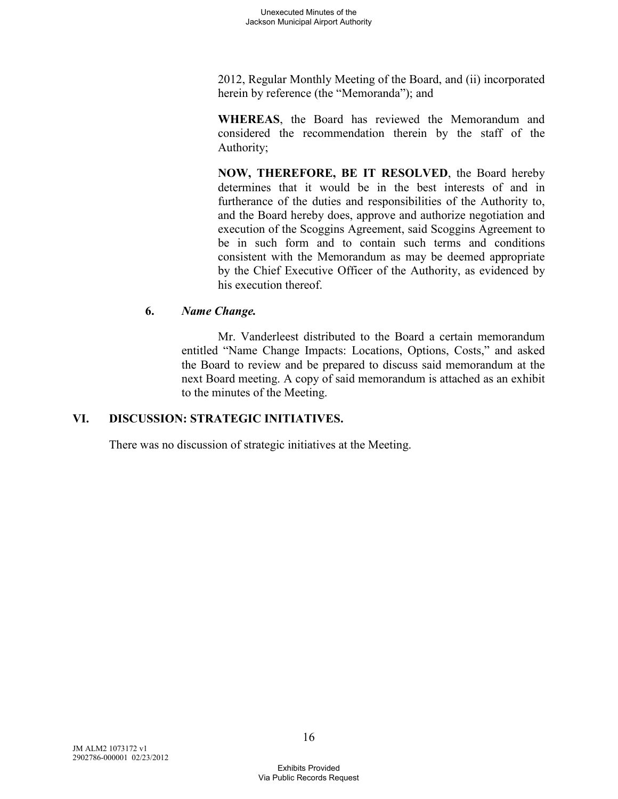2012, Regular Monthly Meeting of the Board, and (ii) incorporated herein by reference (the "Memoranda"); and

**WHEREAS**, the Board has reviewed the Memorandum and considered the recommendation therein by the staff of the Authority;

**NOW, THEREFORE, BE IT RESOLVED**, the Board hereby determines that it would be in the best interests of and in furtherance of the duties and responsibilities of the Authority to, and the Board hereby does, approve and authorize negotiation and execution of the Scoggins Agreement, said Scoggins Agreement to be in such form and to contain such terms and conditions consistent with the Memorandum as may be deemed appropriate by the Chief Executive Officer of the Authority, as evidenced by his execution thereof.

# **6.** *Name Change.*

Mr. Vanderleest distributed to the Board a certain memorandum entitled "Name Change Impacts: Locations, Options, Costs," and asked the Board to review and be prepared to discuss said memorandum at the next Board meeting. A copy of said memorandum is attached as an exhibit to the minutes of the Meeting.

# **VI. DISCUSSION: STRATEGIC INITIATIVES.**

There was no discussion of strategic initiatives at the Meeting.